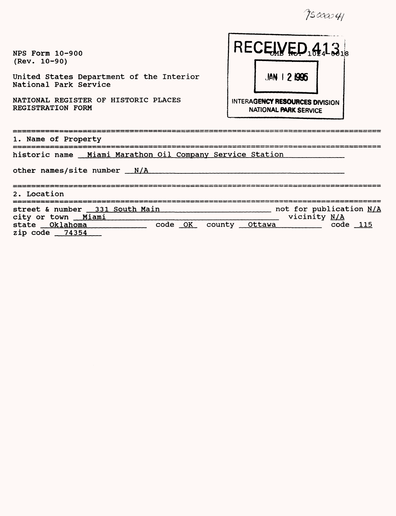9500041

| NPS Form 10-900<br>$(Rev. 10-90)$<br>United States Department of the Interior<br>National Park Service<br>NATIONAL REGISTER OF HISTORIC PLACES<br>REGISTRATION FORM | RECEWED <sub>102</sub> 13.<br>$JAN$   21995<br>INTERAGENCY RESOURCES DIVISION<br><b>NATIONAL PARK SERVICE</b> |
|---------------------------------------------------------------------------------------------------------------------------------------------------------------------|---------------------------------------------------------------------------------------------------------------|
| 1. Name of Property                                                                                                                                                 |                                                                                                               |
| historic name Miami Marathon Oil Company Service Station<br>other names/site number $N/A$                                                                           |                                                                                                               |
| 2. Location                                                                                                                                                         |                                                                                                               |
| street & number 331 South Main<br>city or town Miami<br>state Oklahoma<br>zip $code$ $74354$                                                                        | not for publication N/A<br>vicinity N/A<br>code OK county Ottawa<br>$code$ $115$                              |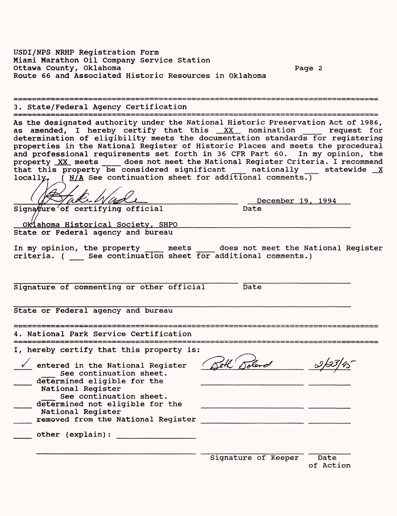USDI/NPS NRHP Registration Form Miami Marathon Oil Company Service Station Ottawa County, Oklahoma Page 2 Route 66 and Associated Historic Resources in Oklahoma

3. State/Federal Agency Certification As the designated authority under the National Historic Preservation Act of 1986, as amended, I hereby certify that this  $XX$  nomination  $r = r$  request for determination of eligibility meets the documentation standards for registering properties in the National Register of Historic Places and meets the procedural and professional requirements set forth in 36 CFR Part 60. In my opinion, the property XX meets \_\_\_\_ does not meet the National Register Criteria. I recommend that this property be considered significant and nationally statewide X locally, ( $N/A$  See continuation sheet for additional comments.) \_\_\_\_\_\_\_\_\_\_\_\_\_\_\_ December 19. 1994 Signa $\#$ ure $^2$ of certifying official 0k<sup>1</sup>ahoma Historical Society, SHPO State or Federal agency and bureau In my opinion, the property \_\_\_\_ meets \_\_\_\_ does not meet the National Register criteria. ( \_\_ See continuation sheet for additional comments.) Signature of commenting or other official Date State or Federal agency and bureau 4. National Park Service Certification I, hereby certify that this property is: v entered in the National Register (Sell Solard See continuation sheet. determined eligible for the National Register See continuation sheet. determined not eligible for the National Register \_\_\_ removed from the National Register \_\_\_\_\_\_\_ other (explain): Signature of Keeper Date of Action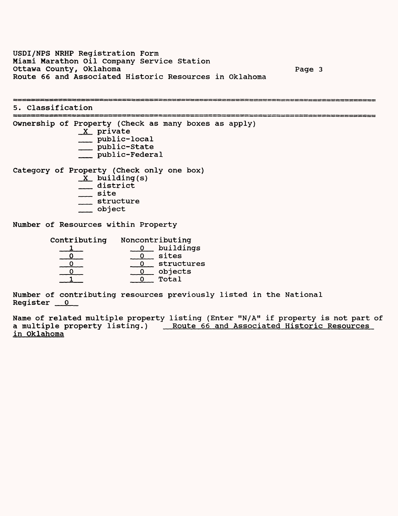USDI/NPS NRHP Registration Form Miami Marathon Oil Company Service Station Ottawa County, Oklahoma Page 3 Route 66 and Associated Historic Resources in Oklahoma

5. Classification Ownership of Property (Check as many boxes as apply)  $X$  private \_\_ public-local \_\_ public-State \_\_\_ public-Federal Category of Property (Check only one box)

 $X$  building(s)  $\equiv$  district \_\_ site \_\_ structure \_\_ object

Number of Resources within Property

| Contributing | Noncontributing |
|--------------|-----------------|
|              | buildings       |
|              | sites           |
|              | structures      |
|              | objects         |
|              | Total           |

Number of contributing resources previously listed in the National  $Register_0$ 

Name of related multiple property listing (Enter "N/A" if property is not part of a multiple property listing.) Route 66 and Associated Historic Resources in Oklahoma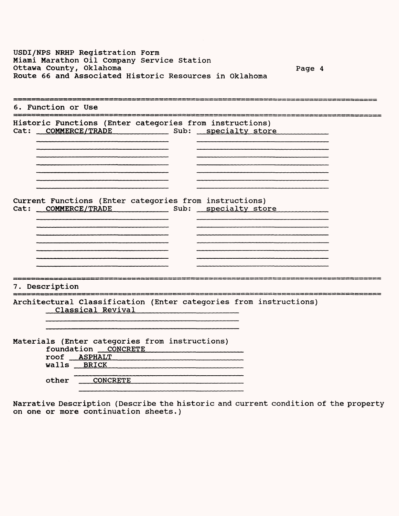| USDI/NPS NRHP Registration Form                        |        |  |
|--------------------------------------------------------|--------|--|
| Miami Marathon Oil Company Service Station             |        |  |
| Ottawa County, Oklahoma                                | Page 4 |  |
| Route 66 and Associated Historic Resources in Oklahoma |        |  |
|                                                        |        |  |

| 6. Function or Use                                                                                                                      |  |
|-----------------------------------------------------------------------------------------------------------------------------------------|--|
| Historic Functions (Enter categories from instructions)<br>Cat: COMMERCE/TRADE Sub: specialty store                                     |  |
|                                                                                                                                         |  |
| Current Functions (Enter categories from instructions)<br>Cat: COMMERCE/TRADE Sub: specialty store                                      |  |
| 7. Description                                                                                                                          |  |
| Architectural Classification (Enter categories from instructions)<br>Classical Revival                                                  |  |
| Materials (Enter categories from instructions)<br>foundation CONCRETE<br>roof <b>ASPHALT</b><br>walls BRICK<br><b>CONCRETE</b><br>other |  |

\_\_\_\_\_\_\_\_\_

Narrative Description (Describe the historic and current condition of the property on one or more continuation sheets.)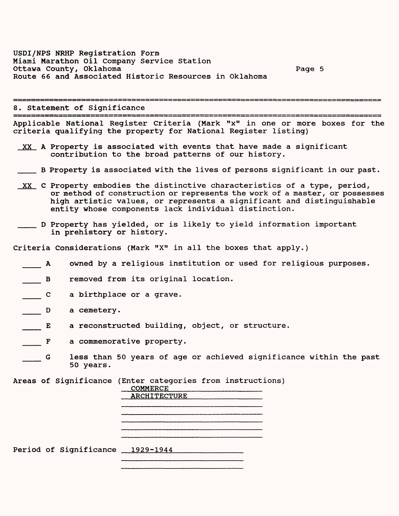8. Statement of Significance

Applicable National Register Criteria (Mark "x" in one or more boxes for the criteria qualifying the property for National Register listing)

- XX A Property is associated with events that have made a significant contribution to the broad patterns of our history.
- \_\_\_ B Property is associated with the lives of persons significant in our past.
- XX C Property embodies the distinctive characteristics of a type, period, or method of construction or represents the work of a master, or possesses high artistic values, or represents a significant and distinguishable entity whose components lack individual distinction.
- \_\_\_ D Property has yielded, or is likely to yield information important in prehistory or history.

Criteria Considerations (Mark "X" in all the boxes that apply.)

- A owned by a religious institution or used for religious purposes.
- B removed from its original location.
- c a birthplace or a grave.
- D a cemetery.
- E a reconstructed building, object, or structure.
- F a commemorative property.
- G less than 50 years of age or achieved significance within the past 50 years.

Areas of Significance (Enter categories from instructions)<br>
<u>COMMERCE</u>

COMMERCE\_\_\_\_\_\_\_\_\_\_\_\_\_\_\_\_\_\_ ARCHITECTURE

Period of Significance 1929-1944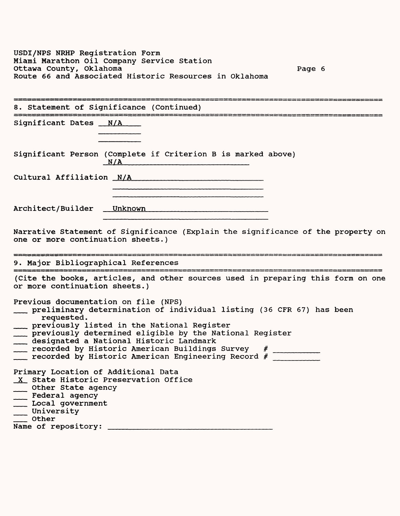USDI/NPS NRHP Registration Form Miami Marathon Oil Company Service Station Ottawa County, Oklahoma Page 6 Route 66 and Associated Historic Resources in Oklahoma

| 8. Statement of Significance (Continued)                                                                                                                                                                                                                                                                                                                                                         |
|--------------------------------------------------------------------------------------------------------------------------------------------------------------------------------------------------------------------------------------------------------------------------------------------------------------------------------------------------------------------------------------------------|
| Significant Dates __ N/A                                                                                                                                                                                                                                                                                                                                                                         |
| Significant Person (Complete if Criterion B is marked above)<br>N/A                                                                                                                                                                                                                                                                                                                              |
|                                                                                                                                                                                                                                                                                                                                                                                                  |
|                                                                                                                                                                                                                                                                                                                                                                                                  |
| Narrative Statement of Significance (Explain the significance of the property on<br>one or more continuation sheets.)                                                                                                                                                                                                                                                                            |
| 9. Major Bibliographical References                                                                                                                                                                                                                                                                                                                                                              |
| (Cite the books, articles, and other sources used in preparing this form on one<br>or more continuation sheets.)                                                                                                                                                                                                                                                                                 |
| Previous documentation on file (NPS)<br>preliminary determination of individual listing (36 CFR 67) has been<br>requested.<br>___ previously listed in the National Register<br>___ previously determined eligible by the National Register<br>designated a National Historic Landmark<br>recorded by Historic American Buildings Survey #<br>recorded by Historic American Engineering Record # |
| Primary Location of Additional Data<br>X State Historic Preservation Office<br>__ Other State agency<br>Federal agency<br>Local government<br>University<br>$\overline{\phantom{a}}$ other                                                                                                                                                                                                       |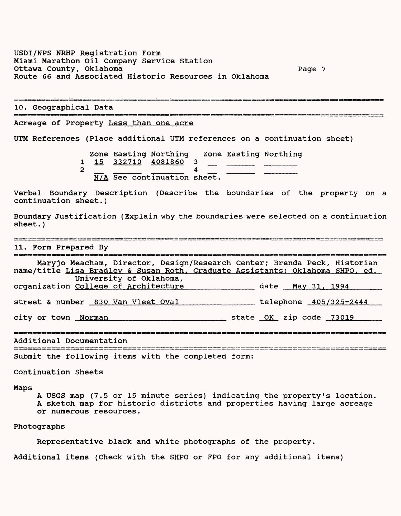USDI/NPS NRHP Registration Form Miami Marathon Oil Company Service Station Ottawa County, Oklahoma Page 7 Route 66 and Associated Historic Resources in Oklahoma

10. Geographical Data

Acreage of Property Less than one acre

UTM References (Place additional UTM references on a continuation sheet)

Zone Easting Northing Zone Easting Northing 1 15 332710 4081860 3<br>2 4  $\frac{1}{2}$   $\frac{13}{N/A}$   $\frac{332/10}{2}$   $\frac{4001000}{4}$   $\frac{3}{4}$   $\frac{3}{2}$   $\frac{3}{2}$   $\frac{3}{2}$   $\frac{3}{2}$   $\frac{3}{2}$   $\frac{4}{2}$   $\frac{3}{2}$   $\frac{3}{2}$   $\frac{3}{2}$   $\frac{3}{2}$   $\frac{3}{2}$   $\frac{3}{2}$   $\frac{3}{2}$   $\frac{3}{2}$   $\frac{3}{2}$   $\frac{3}{2}$ 

Verbal Boundary Description (Describe the boundaries of the property on a continuation sheet.)

Boundary Justification (Explain why the boundaries were selected on a continuation sheet.)

11. Form Prepared By

| Maryjo Meacham, Director, Design/Research Center; Brenda Peck, Historian<br>name/title Lisa Bradley & Susan Roth, Graduate Assistants: Oklahoma SHPO, ed. |                         |
|-----------------------------------------------------------------------------------------------------------------------------------------------------------|-------------------------|
| University of Oklahoma,<br>organization College of Architecture                                                                                           | date May 31, 1994       |
| street & number 830 Van Vleet Oval                                                                                                                        | telephone 405/325-2444  |
| city or town Norman                                                                                                                                       | state OK zip code 73019 |
| Additional Documentation                                                                                                                                  |                         |
|                                                                                                                                                           |                         |

Submit the following items with the completed form:

Continuation Sheets

### Maps

A USGS map (7.5 or 15 minute series) indicating the property's location. A sketch map for historic districts and properties having large acreage or numerous resources.

### Photographs

Representative black and white photographs of the property.

Additional items (Check with the SHPO or FPO for any additional items)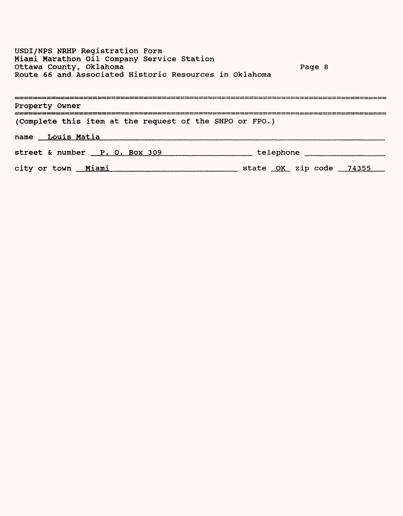USDI/NPS NRHP Registration Form Miami Marathon Oil Company Service Station Ottawa County, Oklahoma Page 8 Route 66 and Associated Historic Resources in Oklahoma

| Property Owner                                          |  |
|---------------------------------------------------------|--|
| (Complete this item at the request of the SHPO or FPO.) |  |
| name Louis Matia                                        |  |
| street & number P. O. Box 309<br>telephone              |  |
| city or town Miami<br>state OK zip code 74355           |  |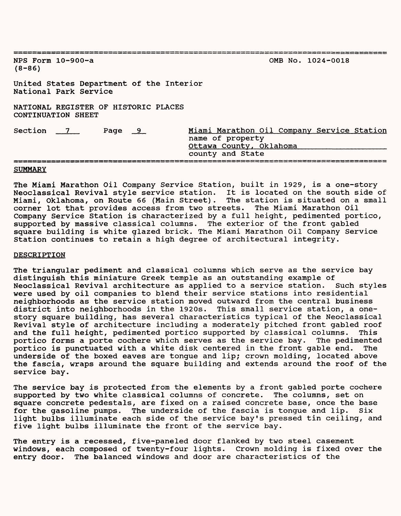| NPS Form $10-900-a$<br>$(8 - 86)$                                                                                                    |  |  | OMB No. 1024-0018 |  |  |  |
|--------------------------------------------------------------------------------------------------------------------------------------|--|--|-------------------|--|--|--|
| United States Department of the Interior<br>National Park Service                                                                    |  |  |                   |  |  |  |
| NATIONAL REGISTER OF HISTORIC PLACES<br>CONTINUATION SHEET                                                                           |  |  |                   |  |  |  |
| Miami Marathon Oil Company Service Station<br>Section 7<br>Page 9<br>name of property<br>Ottawa County, Oklahoma<br>county and State |  |  |                   |  |  |  |

### **SUMMARY**

The Miami Marathon Oil Company Service Station, built in 1929, is a one-story Neoclassical Revival style service station. It is located on the south side of Miami, Oklahoma, on Route 66 (Main Street). The station is situated on a small corner lot that provides access from two streets. The Miami Marathon Oil Company Service Station is characterized by a full height, pedimented portico, supported by massive classical columns. The exterior of the front gabled square building is white glazed brick. The Miami Marathon Oil Company Service Station continues to retain a high degree of architectural integrity.

#### DESCRIPTION

The triangular pediment and classical columns which serve as the service bay distinguish this miniature Greek temple as an outstanding example of Neoclassical Revival architecture as applied to a service station. Such styles were used by oil companies to blend their service stations into residential neighborhoods as the service station moved outward from the central business district into neighborhoods in the 1920s. This small service station, a onestory square building, has several characteristics typical of the Neoclassical Revival style of architecture including a moderately pitched front gabled roof and the full height, pedimented portico supported by classical columns. This portico forms a porte cochere which serves as the service bay. The pedimented portico is punctuated with a white disk centered in the front gable end. The underside of the boxed eaves are tongue and lip; crown molding, located above the fascia, wraps around the square building and extends around the roof of the service bay.

The service bay is protected from the elements by a front gabled porte cochere supported by two white classical columns of concrete. The columns, set on square concrete pedestals, are fixed on a raised concrete base, once the base for the gasoline pumps. The underside of the fascia is tongue and lip. Six light bulbs illuminate each side of the service bay's pressed tin ceiling, and five light bulbs illuminate the front of the service bay.

The entry is a recessed, five-paneled door flanked by two steel casement windows, each composed of twenty-four lights. Crown molding is fixed over the entry door. The balanced windows and door are characteristics of the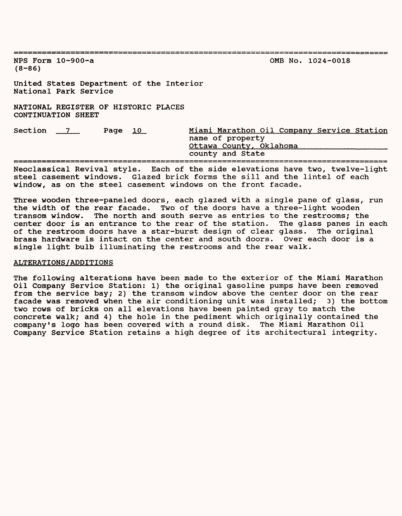NFS Form 10-900-a OMB No. 1024-0018  $(8 - 86)$ United States Department of the Interior National Park Service NATIONAL REGISTER OF HISTORIC PLACES CONTINUATION SHEET Section 7 22 Page 10 Miami Marathon Oil Company Service Station name of property Ottawa County, Oklahoma\_\_\_\_\_\_\_\_\_\_\_\_\_\_\_\_\_\_\_\_\_\_\_\_\_\_\_\_ county and State

Neoclassical Revival style. Each of the side elevations have two, twelve-light steel casement windows. Glazed brick forms the sill and the lintel of each window, as on the steel casement windows on the front facade.

Three wooden three-paneled doors, each glazed with a single pane of glass, run the width of the rear facade. Two of the doors have a three-light wooden transom window. The north and south serve as entries to the restrooms; the center door is an entrance to the rear of the station. The glass panes in each<br>of the restroom doors have a star-burst design of clear glass. The original of the restroom doors have a star-burst design of clear glass. brass hardware is intact on the center and south doors. Over each door is a single light bulb illuminating the restrooms and the rear walk.

# ALTERATIONS/ADDITIONS

The following alterations have been made to the exterior of the Miami Marathon Oil Company Service Station: 1) the original gasoline pumps have been removed from the service bay; 2) the transom window above the center door on the rear facade was removed when the air conditioning unit was installed; 3) the bottom two rows of bricks on all elevations have been painted gray to match the concrete walk; and 4) the hole in the pediment which originally contained the company's logo has been covered with a round disk. The Miami Marathon Oil Company Service Station retains a high degree of its architectural integrity.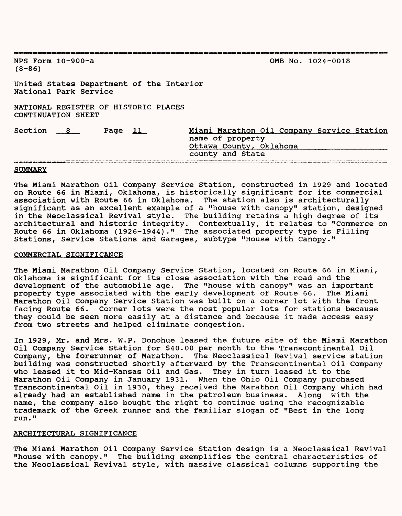| NPS Form $10-900-a$<br>$(8 - 86)$                          |                                                                   |  | OMB No. 1024-0018                                                                                             |  |  |  |  |
|------------------------------------------------------------|-------------------------------------------------------------------|--|---------------------------------------------------------------------------------------------------------------|--|--|--|--|
|                                                            | United States Department of the Interior<br>National Park Service |  |                                                                                                               |  |  |  |  |
| NATIONAL REGISTER OF HISTORIC PLACES<br>CONTINUATION SHEET |                                                                   |  |                                                                                                               |  |  |  |  |
| Section 8                                                  | Page $11$                                                         |  | Miami Marathon Oil Company Service Station<br>name of property<br>Ottawa County, Oklahoma<br>county and State |  |  |  |  |

### SUMMARY

The Miami Marathon Oil Company Service Station, constructed in 1929 and located on Route 66 in Miami, Oklahoma, is historically significant for its commercial association with Route 66 in Oklahoma. The station also is architecturally significant as an excellent example of a "house with canopy" station, designed in the Neoclassical Revival style. The building retains a high degree of its architectural and historic integrity. Contextually, it relates to "Commerce on Route 66 in Oklahoma (1926-1944)." The associated property type is Filling Stations, Service Stations and Garages, subtype "House with Canopy."

# COMMERCIAL SIGNIFICANCE

The Miami Marathon Oil Company Service Station, located on Route 66 in Miami, Oklahoma is significant for its close association with the road and the development of the automobile age. The "house with canopy" was an important<br>property type associated with the early development of Route 66. The Miami property type associated with the early development of Route 66. Marathon Oil Company Service Station was built on a corner lot with the front facing Route 66. Corner lots were the most popular lots for stations because they could be seen more easily at a distance and because it made access easy from two streets and helped eliminate congestion.

In 1929, Mr. and Mrs. W.P. Donohue leased the future site of the Miami Marathon Oil Company Service Station for \$40.00 per month to the Transcontinental Oil Company, the forerunner of Marathon. The Neoclassical Revival service station building was constructed shortly afterward by the Transcontinental Oil Company who leased it to Mid-Kansas Oil and Gas. They in turn leased it to the<br>Marathon Oil Company in January 1931. When the Ohio Oil Company purchased Marathon Oil Company in January 1931. Transcontinental Oil in 1930, they received the Marathon Oil Company which had already had an established name in the petroleum business. Along with the name, the company also bought the right to continue using the recognizable trademark of the Greek runner and the familiar slogan of "Best in the long run."

# ARCHITECTURAL SIGNIFICANCE

The Miami Marathon Oil Company Service Station design is a Neoclassical Revival "house with canopy." The building exemplifies the central characteristics of the Neoclassical Revival style, with massive classical columns supporting the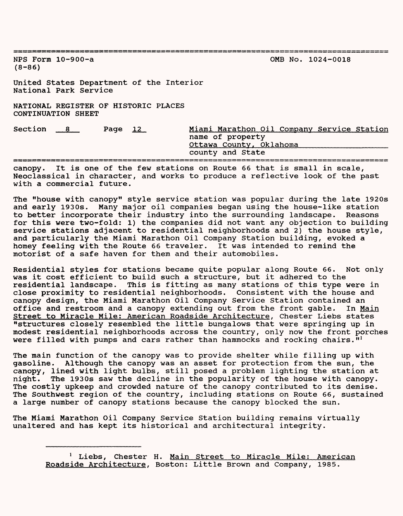NFS Form 10-900-a OMB No. 1024-0018  $(8 - 86)$ United States Department of the Interior National Park Service NATIONAL REGISTER OF HISTORIC PLACES CONTINUATION SHEET Section 8 Page 12 Miami Marathon Oil Company Service Station name of property Ottawa County. Oklahoma\_\_\_\_\_\_\_\_\_\_\_\_\_\_\_\_\_\_\_\_\_\_ county and State 

canopy. It is one of the few stations on Route 66 that is small in scale, Neoclassical in character, and works to produce a reflective look of the past with a commercial future.

The "house with canopy" style service station was popular during the late 1920s and early 1930s. Many major oil companies began using the house-like station to better incorporate their industry into the surrounding landscape. Reasons for this were two-fold: 1) the companies did not want any objection to building service stations adjacent to residential neighborhoods and 2) the house style, and particularly the Miami Marathon Oil Company Station building, evoked a homey feeling with the Route 66 traveler. It was intended to remind the motorist of a safe haven for them and their automobiles.

Residential styles for stations became quite popular along Route 66. Not only was it cost efficient to build such a structure, but it adhered to the residential landscape. This is fitting as many stations of this type were in close proximity to residential neighborhoods. Consistent with the house and canopy design, the Miami Marathon Oil Company Service Station contained an office and restroom and a canopy extending out from the front gable. In Main Street to Miracle Mile: American Roadside Architecture. Chester Liebs states "structures closely resembled the little bungalows that were springing up in modest residential neighborhoods across the country, only now the front porches were filled with pumps and cars rather than hammocks and rocking chairs. $1^{11}$ 

The main function of the canopy was to provide shelter while filling up with gasoline. Although the canopy was an asset for protection from the sun, the canopy, lined with light bulbs, still posed a problem lighting the station at night. The 1930s saw the decline in the popularity of the house with canopy. The costly upkeep and crowded nature of the canopy contributed to its demise. The Southwest region of the country, including stations on Route 66, sustained a large number of canopy stations because the canopy blocked the sun.

The Miami Marathon Oil Company Service Station building remains virtually unaltered and has kept its historical and architectural integrity.

<sup>&</sup>lt;sup>1</sup> Liebs, Chester H. Main Street to Miracle Mile: American Roadside Architecture, Boston: Little Brown and Company, 1985.